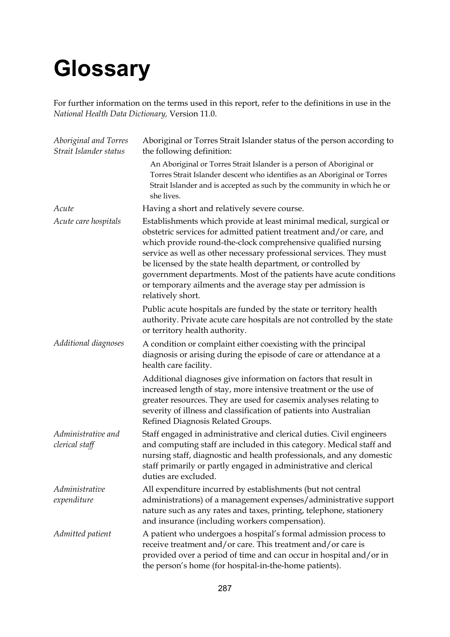## **Glossary**

For further information on the terms used in this report, refer to the definitions in use in the *National Health Data Dictionary,* Version 11.0.

| Aboriginal and Torres<br>Strait Islander status | Aboriginal or Torres Strait Islander status of the person according to<br>the following definition:                                                                                                                                                                                                                                                                                                                                                                                                        |
|-------------------------------------------------|------------------------------------------------------------------------------------------------------------------------------------------------------------------------------------------------------------------------------------------------------------------------------------------------------------------------------------------------------------------------------------------------------------------------------------------------------------------------------------------------------------|
|                                                 | An Aboriginal or Torres Strait Islander is a person of Aboriginal or<br>Torres Strait Islander descent who identifies as an Aboriginal or Torres<br>Strait Islander and is accepted as such by the community in which he or<br>she lives.                                                                                                                                                                                                                                                                  |
| Acute                                           | Having a short and relatively severe course.                                                                                                                                                                                                                                                                                                                                                                                                                                                               |
| Acute care hospitals                            | Establishments which provide at least minimal medical, surgical or<br>obstetric services for admitted patient treatment and/or care, and<br>which provide round-the-clock comprehensive qualified nursing<br>service as well as other necessary professional services. They must<br>be licensed by the state health department, or controlled by<br>government departments. Most of the patients have acute conditions<br>or temporary ailments and the average stay per admission is<br>relatively short. |
|                                                 | Public acute hospitals are funded by the state or territory health<br>authority. Private acute care hospitals are not controlled by the state<br>or territory health authority.                                                                                                                                                                                                                                                                                                                            |
| Additional diagnoses                            | A condition or complaint either coexisting with the principal<br>diagnosis or arising during the episode of care or attendance at a<br>health care facility.                                                                                                                                                                                                                                                                                                                                               |
|                                                 | Additional diagnoses give information on factors that result in<br>increased length of stay, more intensive treatment or the use of<br>greater resources. They are used for casemix analyses relating to<br>severity of illness and classification of patients into Australian<br>Refined Diagnosis Related Groups.                                                                                                                                                                                        |
| Administrative and<br>clerical staff            | Staff engaged in administrative and clerical duties. Civil engineers<br>and computing staff are included in this category. Medical staff and<br>nursing staff, diagnostic and health professionals, and any domestic<br>staff primarily or partly engaged in administrative and clerical<br>duties are excluded.                                                                                                                                                                                           |
| Administrative                                  | All expenditure incurred by establishments (but not central                                                                                                                                                                                                                                                                                                                                                                                                                                                |
| expenditure                                     | administrations) of a management expenses/administrative support<br>nature such as any rates and taxes, printing, telephone, stationery<br>and insurance (including workers compensation).                                                                                                                                                                                                                                                                                                                 |
| Admitted patient                                | A patient who undergoes a hospital's formal admission process to<br>receive treatment and/or care. This treatment and/or care is<br>provided over a period of time and can occur in hospital and/or in<br>the person's home (for hospital-in-the-home patients).                                                                                                                                                                                                                                           |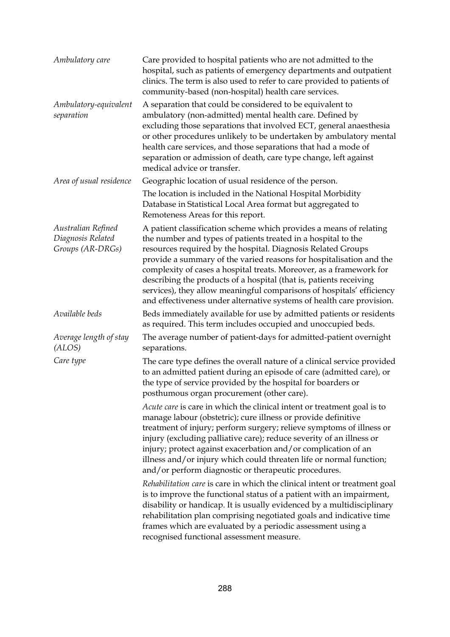| Ambulatory care                                             | Care provided to hospital patients who are not admitted to the<br>hospital, such as patients of emergency departments and outpatient<br>clinics. The term is also used to refer to care provided to patients of<br>community-based (non-hospital) health care services.                                                                                                                                                                                                                                                                                                   |
|-------------------------------------------------------------|---------------------------------------------------------------------------------------------------------------------------------------------------------------------------------------------------------------------------------------------------------------------------------------------------------------------------------------------------------------------------------------------------------------------------------------------------------------------------------------------------------------------------------------------------------------------------|
| Ambulatory-equivalent<br>separation                         | A separation that could be considered to be equivalent to<br>ambulatory (non-admitted) mental health care. Defined by<br>excluding those separations that involved ECT, general anaesthesia<br>or other procedures unlikely to be undertaken by ambulatory mental<br>health care services, and those separations that had a mode of<br>separation or admission of death, care type change, left against<br>medical advice or transfer.                                                                                                                                    |
| Area of usual residence                                     | Geographic location of usual residence of the person.                                                                                                                                                                                                                                                                                                                                                                                                                                                                                                                     |
|                                                             | The location is included in the National Hospital Morbidity<br>Database in Statistical Local Area format but aggregated to<br>Remoteness Areas for this report.                                                                                                                                                                                                                                                                                                                                                                                                           |
| Australian Refined<br>Diagnosis Related<br>Groups (AR-DRGs) | A patient classification scheme which provides a means of relating<br>the number and types of patients treated in a hospital to the<br>resources required by the hospital. Diagnosis Related Groups<br>provide a summary of the varied reasons for hospitalisation and the<br>complexity of cases a hospital treats. Moreover, as a framework for<br>describing the products of a hospital (that is, patients receiving<br>services), they allow meaningful comparisons of hospitals' efficiency<br>and effectiveness under alternative systems of health care provision. |
| Available beds                                              | Beds immediately available for use by admitted patients or residents<br>as required. This term includes occupied and unoccupied beds.                                                                                                                                                                                                                                                                                                                                                                                                                                     |
| Average length of stay<br>(ALOS)                            | The average number of patient-days for admitted-patient overnight<br>separations.                                                                                                                                                                                                                                                                                                                                                                                                                                                                                         |
| Care type                                                   | The care type defines the overall nature of a clinical service provided<br>to an admitted patient during an episode of care (admitted care), or<br>the type of service provided by the hospital for boarders or<br>posthumous organ procurement (other care).                                                                                                                                                                                                                                                                                                             |
|                                                             | Acute care is care in which the clinical intent or treatment goal is to<br>manage labour (obstetric); cure illness or provide definitive<br>treatment of injury; perform surgery; relieve symptoms of illness or<br>injury (excluding palliative care); reduce severity of an illness or<br>injury; protect against exacerbation and/or complication of an<br>illness and/or injury which could threaten life or normal function;<br>and/or perform diagnostic or therapeutic procedures.                                                                                 |
|                                                             | Rehabilitation care is care in which the clinical intent or treatment goal<br>is to improve the functional status of a patient with an impairment,<br>disability or handicap. It is usually evidenced by a multidisciplinary<br>rehabilitation plan comprising negotiated goals and indicative time<br>frames which are evaluated by a periodic assessment using a<br>recognised functional assessment measure.                                                                                                                                                           |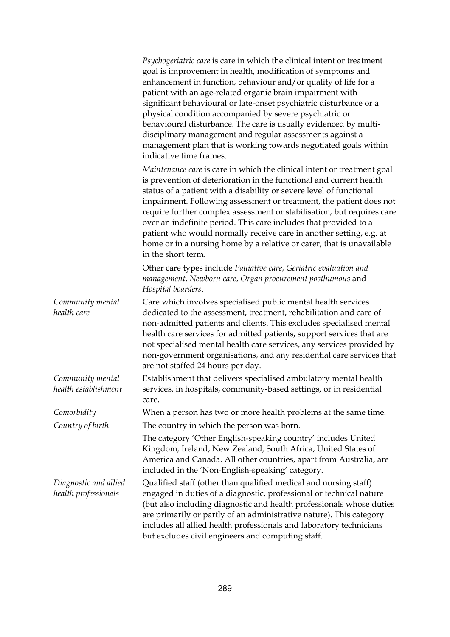|                                               | Psychogeriatric care is care in which the clinical intent or treatment<br>goal is improvement in health, modification of symptoms and<br>enhancement in function, behaviour and/or quality of life for a<br>patient with an age-related organic brain impairment with<br>significant behavioural or late-onset psychiatric disturbance or a<br>physical condition accompanied by severe psychiatric or<br>behavioural disturbance. The care is usually evidenced by multi-<br>disciplinary management and regular assessments against a<br>management plan that is working towards negotiated goals within<br>indicative time frames. |
|-----------------------------------------------|---------------------------------------------------------------------------------------------------------------------------------------------------------------------------------------------------------------------------------------------------------------------------------------------------------------------------------------------------------------------------------------------------------------------------------------------------------------------------------------------------------------------------------------------------------------------------------------------------------------------------------------|
|                                               | Maintenance care is care in which the clinical intent or treatment goal<br>is prevention of deterioration in the functional and current health<br>status of a patient with a disability or severe level of functional<br>impairment. Following assessment or treatment, the patient does not<br>require further complex assessment or stabilisation, but requires care<br>over an indefinite period. This care includes that provided to a<br>patient who would normally receive care in another setting, e.g. at<br>home or in a nursing home by a relative or carer, that is unavailable<br>in the short term.                      |
|                                               | Other care types include Palliative care, Geriatric evaluation and<br>management, Newborn care, Organ procurement posthumous and<br>Hospital boarders.                                                                                                                                                                                                                                                                                                                                                                                                                                                                                |
| Community mental<br>health care               | Care which involves specialised public mental health services<br>dedicated to the assessment, treatment, rehabilitation and care of<br>non-admitted patients and clients. This excludes specialised mental<br>health care services for admitted patients, support services that are<br>not specialised mental health care services, any services provided by<br>non-government organisations, and any residential care services that<br>are not staffed 24 hours per day.                                                                                                                                                             |
| Community mental<br>health establishment      | Establishment that delivers specialised ambulatory mental health<br>services, in hospitals, community-based settings, or in residential<br>care.                                                                                                                                                                                                                                                                                                                                                                                                                                                                                      |
| Comorbidity                                   | When a person has two or more health problems at the same time.                                                                                                                                                                                                                                                                                                                                                                                                                                                                                                                                                                       |
| Country of birth                              | The country in which the person was born.                                                                                                                                                                                                                                                                                                                                                                                                                                                                                                                                                                                             |
|                                               | The category 'Other English-speaking country' includes United<br>Kingdom, Ireland, New Zealand, South Africa, United States of<br>America and Canada. All other countries, apart from Australia, are<br>included in the 'Non-English-speaking' category.                                                                                                                                                                                                                                                                                                                                                                              |
| Diagnostic and allied<br>health professionals | Qualified staff (other than qualified medical and nursing staff)<br>engaged in duties of a diagnostic, professional or technical nature<br>(but also including diagnostic and health professionals whose duties<br>are primarily or partly of an administrative nature). This category<br>includes all allied health professionals and laboratory technicians<br>but excludes civil engineers and computing staff.                                                                                                                                                                                                                    |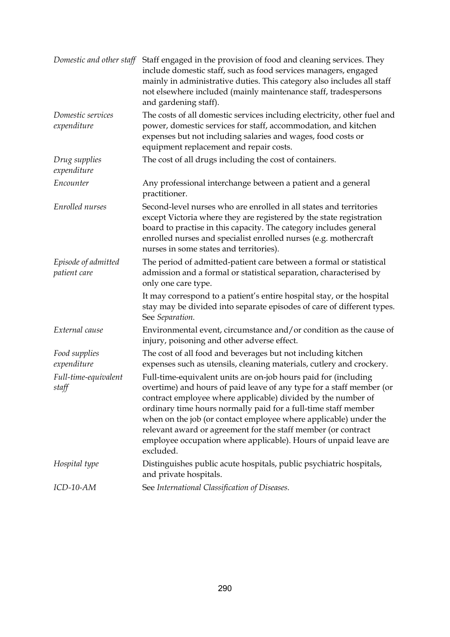| Domestic and other staff            | Staff engaged in the provision of food and cleaning services. They<br>include domestic staff, such as food services managers, engaged<br>mainly in administrative duties. This category also includes all staff<br>not elsewhere included (mainly maintenance staff, tradespersons<br>and gardening staff).                                                                                                                                                                                     |
|-------------------------------------|-------------------------------------------------------------------------------------------------------------------------------------------------------------------------------------------------------------------------------------------------------------------------------------------------------------------------------------------------------------------------------------------------------------------------------------------------------------------------------------------------|
| Domestic services<br>expenditure    | The costs of all domestic services including electricity, other fuel and<br>power, domestic services for staff, accommodation, and kitchen<br>expenses but not including salaries and wages, food costs or<br>equipment replacement and repair costs.                                                                                                                                                                                                                                           |
| Drug supplies<br>expenditure        | The cost of all drugs including the cost of containers.                                                                                                                                                                                                                                                                                                                                                                                                                                         |
| Encounter                           | Any professional interchange between a patient and a general<br>practitioner.                                                                                                                                                                                                                                                                                                                                                                                                                   |
| Enrolled nurses                     | Second-level nurses who are enrolled in all states and territories<br>except Victoria where they are registered by the state registration<br>board to practise in this capacity. The category includes general<br>enrolled nurses and specialist enrolled nurses (e.g. mothercraft<br>nurses in some states and territories).                                                                                                                                                                   |
| Episode of admitted<br>patient care | The period of admitted-patient care between a formal or statistical<br>admission and a formal or statistical separation, characterised by<br>only one care type.                                                                                                                                                                                                                                                                                                                                |
|                                     | It may correspond to a patient's entire hospital stay, or the hospital<br>stay may be divided into separate episodes of care of different types.<br>See Separation.                                                                                                                                                                                                                                                                                                                             |
| External cause                      | Environmental event, circumstance and/or condition as the cause of<br>injury, poisoning and other adverse effect.                                                                                                                                                                                                                                                                                                                                                                               |
| Food supplies<br>expenditure        | The cost of all food and beverages but not including kitchen<br>expenses such as utensils, cleaning materials, cutlery and crockery.                                                                                                                                                                                                                                                                                                                                                            |
| Full-time-equivalent<br>staff       | Full-time-equivalent units are on-job hours paid for (including<br>overtime) and hours of paid leave of any type for a staff member (or<br>contract employee where applicable) divided by the number of<br>ordinary time hours normally paid for a full-time staff member<br>when on the job (or contact employee where applicable) under the<br>relevant award or agreement for the staff member (or contract<br>employee occupation where applicable). Hours of unpaid leave are<br>excluded. |
| Hospital type                       | Distinguishes public acute hospitals, public psychiatric hospitals,<br>and private hospitals.                                                                                                                                                                                                                                                                                                                                                                                                   |
| ICD-10-AM                           | See International Classification of Diseases.                                                                                                                                                                                                                                                                                                                                                                                                                                                   |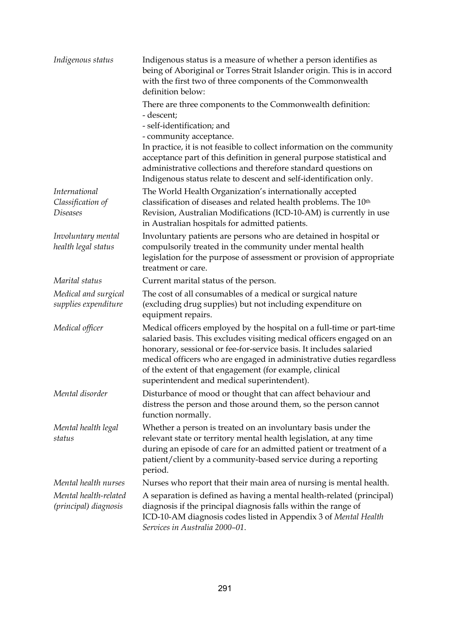| Indigenous status                    | Indigenous status is a measure of whether a person identifies as<br>being of Aboriginal or Torres Strait Islander origin. This is in accord<br>with the first two of three components of the Commonwealth<br>definition below:                                                                                                                                                                         |
|--------------------------------------|--------------------------------------------------------------------------------------------------------------------------------------------------------------------------------------------------------------------------------------------------------------------------------------------------------------------------------------------------------------------------------------------------------|
|                                      | There are three components to the Commonwealth definition:<br>- descent;                                                                                                                                                                                                                                                                                                                               |
|                                      | - self-identification; and                                                                                                                                                                                                                                                                                                                                                                             |
|                                      | - community acceptance.                                                                                                                                                                                                                                                                                                                                                                                |
|                                      | In practice, it is not feasible to collect information on the community<br>acceptance part of this definition in general purpose statistical and<br>administrative collections and therefore standard questions on<br>Indigenous status relate to descent and self-identification only.                                                                                                                |
| <i>International</i>                 | The World Health Organization's internationally accepted                                                                                                                                                                                                                                                                                                                                               |
| Classification of<br><b>Diseases</b> | classification of diseases and related health problems. The 10 <sup>th</sup><br>Revision, Australian Modifications (ICD-10-AM) is currently in use<br>in Australian hospitals for admitted patients.                                                                                                                                                                                                   |
| Involuntary mental                   | Involuntary patients are persons who are detained in hospital or                                                                                                                                                                                                                                                                                                                                       |
| health legal status                  | compulsorily treated in the community under mental health<br>legislation for the purpose of assessment or provision of appropriate<br>treatment or care.                                                                                                                                                                                                                                               |
| Marital status                       | Current marital status of the person.                                                                                                                                                                                                                                                                                                                                                                  |
| Medical and surgical                 | The cost of all consumables of a medical or surgical nature                                                                                                                                                                                                                                                                                                                                            |
| supplies expenditure                 | (excluding drug supplies) but not including expenditure on<br>equipment repairs.                                                                                                                                                                                                                                                                                                                       |
| Medical officer                      | Medical officers employed by the hospital on a full-time or part-time<br>salaried basis. This excludes visiting medical officers engaged on an<br>honorary, sessional or fee-for-service basis. It includes salaried<br>medical officers who are engaged in administrative duties regardless<br>of the extent of that engagement (for example, clinical<br>superintendent and medical superintendent). |
| Mental disorder                      | Disturbance of mood or thought that can affect behaviour and<br>distress the person and those around them, so the person cannot<br>function normally.                                                                                                                                                                                                                                                  |
| Mental health legal<br>status        | Whether a person is treated on an involuntary basis under the<br>relevant state or territory mental health legislation, at any time<br>during an episode of care for an admitted patient or treatment of a<br>patient/client by a community-based service during a reporting<br>period.                                                                                                                |
| Mental health nurses                 | Nurses who report that their main area of nursing is mental health.                                                                                                                                                                                                                                                                                                                                    |
| Mental health-related                | A separation is defined as having a mental health-related (principal)                                                                                                                                                                                                                                                                                                                                  |
| (principal) diagnosis                | diagnosis if the principal diagnosis falls within the range of<br>ICD-10-AM diagnosis codes listed in Appendix 3 of Mental Health<br>Services in Australia 2000-01.                                                                                                                                                                                                                                    |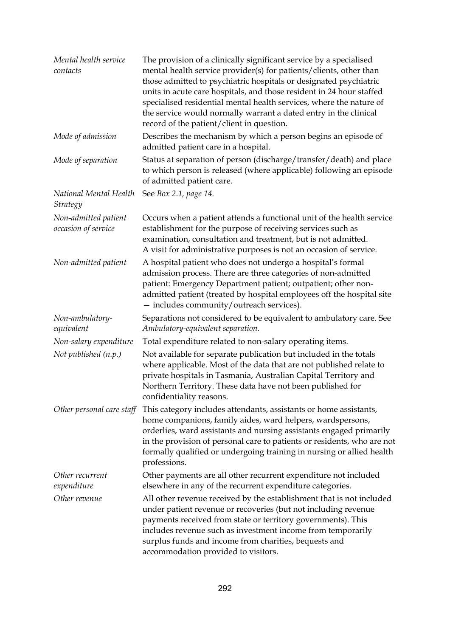| Mental health service<br>contacts           | The provision of a clinically significant service by a specialised<br>mental health service provider(s) for patients/clients, other than<br>those admitted to psychiatric hospitals or designated psychiatric<br>units in acute care hospitals, and those resident in 24 hour staffed<br>specialised residential mental health services, where the nature of<br>the service would normally warrant a dated entry in the clinical<br>record of the patient/client in question. |
|---------------------------------------------|-------------------------------------------------------------------------------------------------------------------------------------------------------------------------------------------------------------------------------------------------------------------------------------------------------------------------------------------------------------------------------------------------------------------------------------------------------------------------------|
| Mode of admission                           | Describes the mechanism by which a person begins an episode of<br>admitted patient care in a hospital.                                                                                                                                                                                                                                                                                                                                                                        |
| Mode of separation                          | Status at separation of person (discharge/transfer/death) and place<br>to which person is released (where applicable) following an episode<br>of admitted patient care.                                                                                                                                                                                                                                                                                                       |
| National Mental Health<br>Strategy          | See Box 2.1, page 14.                                                                                                                                                                                                                                                                                                                                                                                                                                                         |
| Non-admitted patient<br>occasion of service | Occurs when a patient attends a functional unit of the health service<br>establishment for the purpose of receiving services such as<br>examination, consultation and treatment, but is not admitted.<br>A visit for administrative purposes is not an occasion of service.                                                                                                                                                                                                   |
| Non-admitted patient                        | A hospital patient who does not undergo a hospital's formal<br>admission process. There are three categories of non-admitted<br>patient: Emergency Department patient; outpatient; other non-<br>admitted patient (treated by hospital employees off the hospital site<br>- includes community/outreach services).                                                                                                                                                            |
| Non-ambulatory-<br>equivalent               | Separations not considered to be equivalent to ambulatory care. See<br>Ambulatory-equivalent separation.                                                                                                                                                                                                                                                                                                                                                                      |
| Non-salary expenditure                      | Total expenditure related to non-salary operating items.                                                                                                                                                                                                                                                                                                                                                                                                                      |
| Not published (n.p.)                        | Not available for separate publication but included in the totals<br>where applicable. Most of the data that are not published relate to<br>private hospitals in Tasmania, Australian Capital Territory and<br>Northern Territory. These data have not been published for<br>confidentiality reasons.                                                                                                                                                                         |
| Other personal care staff                   | This category includes attendants, assistants or home assistants,<br>home companions, family aides, ward helpers, wardspersons,<br>orderlies, ward assistants and nursing assistants engaged primarily<br>in the provision of personal care to patients or residents, who are not<br>formally qualified or undergoing training in nursing or allied health<br>professions.                                                                                                    |
| Other recurrent                             | Other payments are all other recurrent expenditure not included                                                                                                                                                                                                                                                                                                                                                                                                               |
| expenditure                                 | elsewhere in any of the recurrent expenditure categories.                                                                                                                                                                                                                                                                                                                                                                                                                     |
| Other revenue                               | All other revenue received by the establishment that is not included<br>under patient revenue or recoveries (but not including revenue<br>payments received from state or territory governments). This<br>includes revenue such as investment income from temporarily<br>surplus funds and income from charities, bequests and<br>accommodation provided to visitors.                                                                                                         |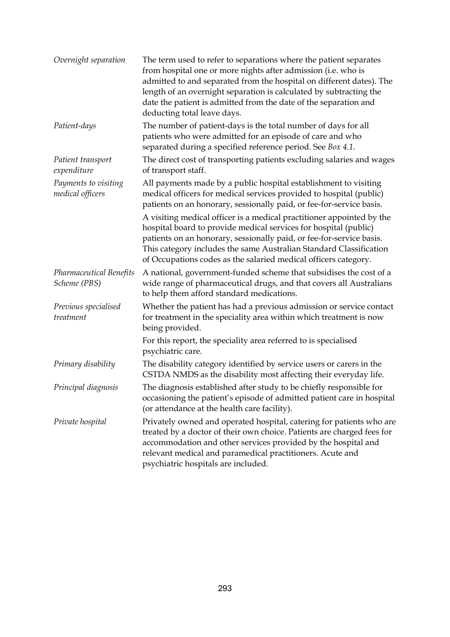| Overnight separation                           | The term used to refer to separations where the patient separates<br>from hospital one or more nights after admission (i.e. who is<br>admitted to and separated from the hospital on different dates). The<br>length of an overnight separation is calculated by subtracting the<br>date the patient is admitted from the date of the separation and<br>deducting total leave days. |
|------------------------------------------------|-------------------------------------------------------------------------------------------------------------------------------------------------------------------------------------------------------------------------------------------------------------------------------------------------------------------------------------------------------------------------------------|
| Patient-days                                   | The number of patient-days is the total number of days for all<br>patients who were admitted for an episode of care and who<br>separated during a specified reference period. See Box 4.1.                                                                                                                                                                                          |
| Patient transport<br>expenditure               | The direct cost of transporting patients excluding salaries and wages<br>of transport staff.                                                                                                                                                                                                                                                                                        |
| Payments to visiting<br>medical officers       | All payments made by a public hospital establishment to visiting<br>medical officers for medical services provided to hospital (public)<br>patients on an honorary, sessionally paid, or fee-for-service basis.                                                                                                                                                                     |
|                                                | A visiting medical officer is a medical practitioner appointed by the<br>hospital board to provide medical services for hospital (public)<br>patients on an honorary, sessionally paid, or fee-for-service basis.<br>This category includes the same Australian Standard Classification<br>of Occupations codes as the salaried medical officers category.                          |
| <b>Pharmaceutical Benefits</b><br>Scheme (PBS) | A national, government-funded scheme that subsidises the cost of a<br>wide range of pharmaceutical drugs, and that covers all Australians<br>to help them afford standard medications.                                                                                                                                                                                              |
| Previous specialised<br>treatment              | Whether the patient has had a previous admission or service contact<br>for treatment in the speciality area within which treatment is now<br>being provided.                                                                                                                                                                                                                        |
|                                                | For this report, the speciality area referred to is specialised<br>psychiatric care.                                                                                                                                                                                                                                                                                                |
| Primary disability                             | The disability category identified by service users or carers in the<br>CSTDA NMDS as the disability most affecting their everyday life.                                                                                                                                                                                                                                            |
| Principal diagnosis                            | The diagnosis established after study to be chiefly responsible for<br>occasioning the patient's episode of admitted patient care in hospital<br>(or attendance at the health care facility).                                                                                                                                                                                       |
| Private hospital                               | Privately owned and operated hospital, catering for patients who are<br>treated by a doctor of their own choice. Patients are charged fees for<br>accommodation and other services provided by the hospital and<br>relevant medical and paramedical practitioners. Acute and<br>psychiatric hospitals are included.                                                                 |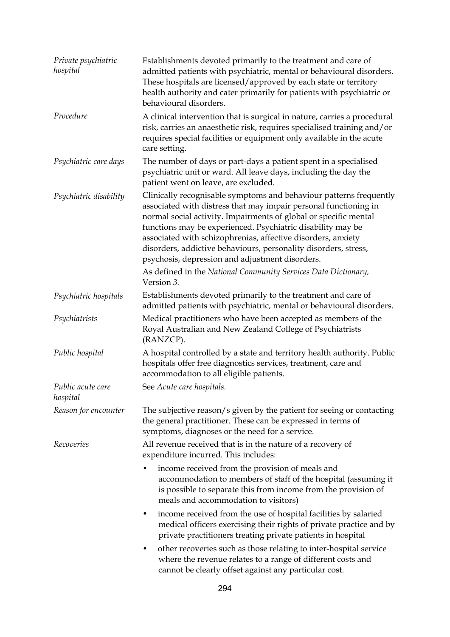| Private psychiatric<br>hospital | Establishments devoted primarily to the treatment and care of<br>admitted patients with psychiatric, mental or behavioural disorders.<br>These hospitals are licensed/approved by each state or territory<br>health authority and cater primarily for patients with psychiatric or<br>behavioural disorders.                                                                                                                                                    |
|---------------------------------|-----------------------------------------------------------------------------------------------------------------------------------------------------------------------------------------------------------------------------------------------------------------------------------------------------------------------------------------------------------------------------------------------------------------------------------------------------------------|
| Procedure                       | A clinical intervention that is surgical in nature, carries a procedural<br>risk, carries an anaesthetic risk, requires specialised training and/or<br>requires special facilities or equipment only available in the acute<br>care setting.                                                                                                                                                                                                                    |
| Psychiatric care days           | The number of days or part-days a patient spent in a specialised<br>psychiatric unit or ward. All leave days, including the day the<br>patient went on leave, are excluded.                                                                                                                                                                                                                                                                                     |
| Psychiatric disability          | Clinically recognisable symptoms and behaviour patterns frequently<br>associated with distress that may impair personal functioning in<br>normal social activity. Impairments of global or specific mental<br>functions may be experienced. Psychiatric disability may be<br>associated with schizophrenias, affective disorders, anxiety<br>disorders, addictive behaviours, personality disorders, stress,<br>psychosis, depression and adjustment disorders. |
|                                 | As defined in the National Community Services Data Dictionary,<br>Version 3.                                                                                                                                                                                                                                                                                                                                                                                    |
| Psychiatric hospitals           | Establishments devoted primarily to the treatment and care of<br>admitted patients with psychiatric, mental or behavioural disorders.                                                                                                                                                                                                                                                                                                                           |
| Psychiatrists                   | Medical practitioners who have been accepted as members of the<br>Royal Australian and New Zealand College of Psychiatrists<br>(RANZCP).                                                                                                                                                                                                                                                                                                                        |
| Public hospital                 | A hospital controlled by a state and territory health authority. Public<br>hospitals offer free diagnostics services, treatment, care and<br>accommodation to all eligible patients.                                                                                                                                                                                                                                                                            |
| Public acute care<br>hospital   | See Acute care hospitals.                                                                                                                                                                                                                                                                                                                                                                                                                                       |
| Reason for encounter            | The subjective reason/s given by the patient for seeing or contacting<br>the general practitioner. These can be expressed in terms of<br>symptoms, diagnoses or the need for a service.                                                                                                                                                                                                                                                                         |
| Recoveries                      | All revenue received that is in the nature of a recovery of<br>expenditure incurred. This includes:                                                                                                                                                                                                                                                                                                                                                             |
|                                 | income received from the provision of meals and<br>accommodation to members of staff of the hospital (assuming it<br>is possible to separate this from income from the provision of<br>meals and accommodation to visitors)                                                                                                                                                                                                                                     |
|                                 | income received from the use of hospital facilities by salaried<br>٠<br>medical officers exercising their rights of private practice and by<br>private practitioners treating private patients in hospital                                                                                                                                                                                                                                                      |
|                                 | other recoveries such as those relating to inter-hospital service<br>٠<br>where the revenue relates to a range of different costs and<br>cannot be clearly offset against any particular cost.                                                                                                                                                                                                                                                                  |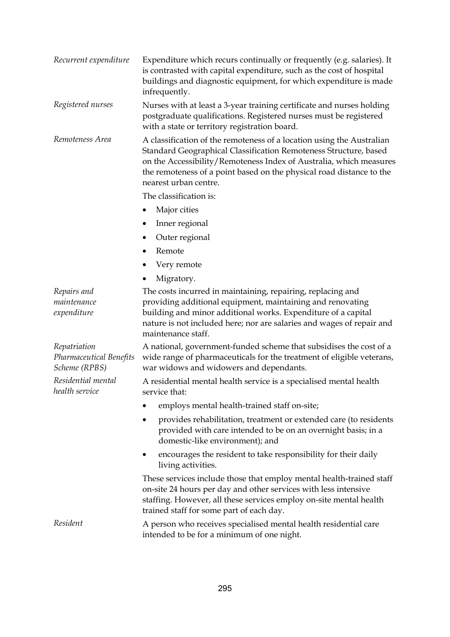| Recurrent expenditure                                    | Expenditure which recurs continually or frequently (e.g. salaries). It<br>is contrasted with capital expenditure, such as the cost of hospital<br>buildings and diagnostic equipment, for which expenditure is made<br>infrequently.                                                                             |
|----------------------------------------------------------|------------------------------------------------------------------------------------------------------------------------------------------------------------------------------------------------------------------------------------------------------------------------------------------------------------------|
| Registered nurses                                        | Nurses with at least a 3-year training certificate and nurses holding<br>postgraduate qualifications. Registered nurses must be registered<br>with a state or territory registration board.                                                                                                                      |
| Remoteness Area                                          | A classification of the remoteness of a location using the Australian<br>Standard Geographical Classification Remoteness Structure, based<br>on the Accessibility/Remoteness Index of Australia, which measures<br>the remoteness of a point based on the physical road distance to the<br>nearest urban centre. |
|                                                          | The classification is:                                                                                                                                                                                                                                                                                           |
|                                                          | Major cities                                                                                                                                                                                                                                                                                                     |
|                                                          | Inner regional                                                                                                                                                                                                                                                                                                   |
|                                                          | Outer regional                                                                                                                                                                                                                                                                                                   |
|                                                          | Remote<br>٠                                                                                                                                                                                                                                                                                                      |
|                                                          | Very remote                                                                                                                                                                                                                                                                                                      |
|                                                          | Migratory.                                                                                                                                                                                                                                                                                                       |
| Repairs and<br>maintenance<br>expenditure                | The costs incurred in maintaining, repairing, replacing and<br>providing additional equipment, maintaining and renovating<br>building and minor additional works. Expenditure of a capital<br>nature is not included here; nor are salaries and wages of repair and<br>maintenance staff.                        |
| Repatriation<br>Pharmaceutical Benefits<br>Scheme (RPBS) | A national, government-funded scheme that subsidises the cost of a<br>wide range of pharmaceuticals for the treatment of eligible veterans,<br>war widows and widowers and dependants.                                                                                                                           |
| Residential mental<br>health service                     | A residential mental health service is a specialised mental health<br>service that:                                                                                                                                                                                                                              |
|                                                          | employs mental health-trained staff on-site;                                                                                                                                                                                                                                                                     |
|                                                          | provides rehabilitation, treatment or extended care (to residents<br>provided with care intended to be on an overnight basis; in a<br>domestic-like environment); and                                                                                                                                            |
|                                                          | encourages the resident to take responsibility for their daily<br>living activities.                                                                                                                                                                                                                             |
|                                                          | These services include those that employ mental health-trained staff<br>on-site 24 hours per day and other services with less intensive<br>staffing. However, all these services employ on-site mental health<br>trained staff for some part of each day.                                                        |
| Resident                                                 | A person who receives specialised mental health residential care<br>intended to be for a minimum of one night.                                                                                                                                                                                                   |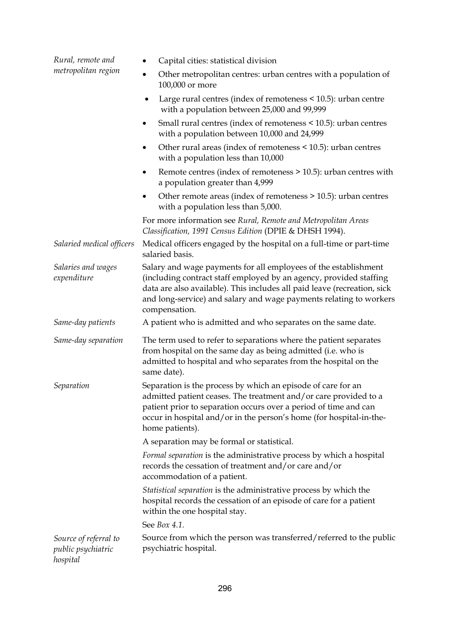| Rural, remote and<br>metropolitan region                | Capital cities: statistical division                                                                                                                                                                                                                                                                     |
|---------------------------------------------------------|----------------------------------------------------------------------------------------------------------------------------------------------------------------------------------------------------------------------------------------------------------------------------------------------------------|
|                                                         | Other metropolitan centres: urban centres with a population of<br>100,000 or more                                                                                                                                                                                                                        |
|                                                         | Large rural centres (index of remoteness < 10.5): urban centre<br>٠<br>with a population between 25,000 and 99,999                                                                                                                                                                                       |
|                                                         | Small rural centres (index of remoteness < 10.5): urban centres<br>٠<br>with a population between 10,000 and 24,999                                                                                                                                                                                      |
|                                                         | Other rural areas (index of remoteness < 10.5): urban centres<br>٠<br>with a population less than 10,000                                                                                                                                                                                                 |
|                                                         | Remote centres (index of remoteness > 10.5): urban centres with<br>٠<br>a population greater than 4,999                                                                                                                                                                                                  |
|                                                         | Other remote areas (index of remoteness $>$ 10.5): urban centres<br>٠<br>with a population less than 5,000.                                                                                                                                                                                              |
|                                                         | For more information see Rural, Remote and Metropolitan Areas<br>Classification, 1991 Census Edition (DPIE & DHSH 1994).                                                                                                                                                                                 |
| Salaried medical officers                               | Medical officers engaged by the hospital on a full-time or part-time<br>salaried basis.                                                                                                                                                                                                                  |
| Salaries and wages<br>expenditure                       | Salary and wage payments for all employees of the establishment<br>(including contract staff employed by an agency, provided staffing<br>data are also available). This includes all paid leave (recreation, sick<br>and long-service) and salary and wage payments relating to workers<br>compensation. |
| Same-day patients                                       | A patient who is admitted and who separates on the same date.                                                                                                                                                                                                                                            |
| Same-day separation                                     | The term used to refer to separations where the patient separates<br>from hospital on the same day as being admitted (i.e. who is<br>admitted to hospital and who separates from the hospital on the<br>same date).                                                                                      |
| Separation                                              | Separation is the process by which an episode of care for an<br>admitted patient ceases. The treatment and/or care provided to a<br>patient prior to separation occurs over a period of time and can<br>occur in hospital and/or in the person's home (for hospital-in-the-<br>home patients).           |
|                                                         | A separation may be formal or statistical.                                                                                                                                                                                                                                                               |
|                                                         | Formal separation is the administrative process by which a hospital<br>records the cessation of treatment and/or care and/or<br>accommodation of a patient.                                                                                                                                              |
|                                                         | Statistical separation is the administrative process by which the<br>hospital records the cessation of an episode of care for a patient<br>within the one hospital stay.                                                                                                                                 |
|                                                         | See Box 4.1.                                                                                                                                                                                                                                                                                             |
| Source of referral to<br>public psychiatric<br>hospital | Source from which the person was transferred/referred to the public<br>psychiatric hospital.                                                                                                                                                                                                             |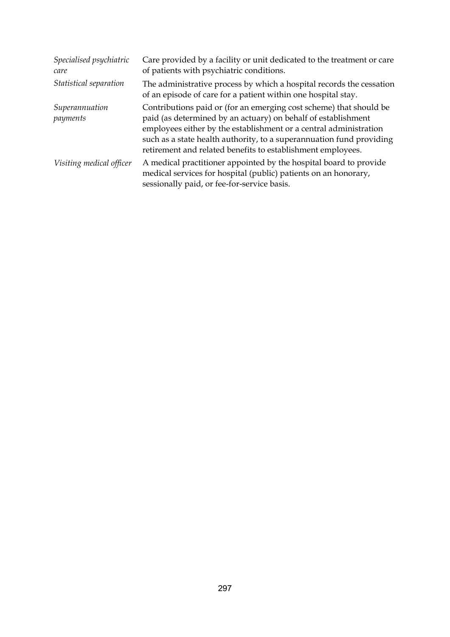| Specialised psychiatric<br>care | Care provided by a facility or unit dedicated to the treatment or care<br>of patients with psychiatric conditions.                                                                                                                                                                                                                              |
|---------------------------------|-------------------------------------------------------------------------------------------------------------------------------------------------------------------------------------------------------------------------------------------------------------------------------------------------------------------------------------------------|
| Statistical separation          | The administrative process by which a hospital records the cessation<br>of an episode of care for a patient within one hospital stay.                                                                                                                                                                                                           |
| Superannuation<br>payments      | Contributions paid or (for an emerging cost scheme) that should be<br>paid (as determined by an actuary) on behalf of establishment<br>employees either by the establishment or a central administration<br>such as a state health authority, to a superannuation fund providing<br>retirement and related benefits to establishment employees. |
| Visiting medical officer        | A medical practitioner appointed by the hospital board to provide<br>medical services for hospital (public) patients on an honorary,<br>sessionally paid, or fee-for-service basis.                                                                                                                                                             |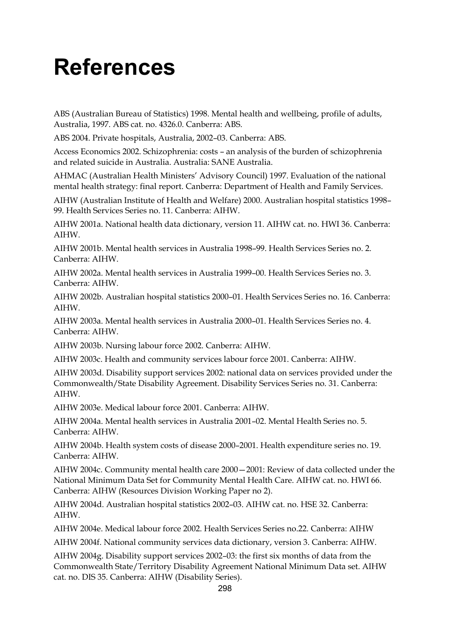## **References**

ABS (Australian Bureau of Statistics) 1998. Mental health and wellbeing, profile of adults, Australia, 1997. ABS cat. no. 4326.0. Canberra: ABS.

ABS 2004. Private hospitals, Australia, 2002–03. Canberra: ABS.

Access Economics 2002. Schizophrenia: costs – an analysis of the burden of schizophrenia and related suicide in Australia. Australia: SANE Australia.

AHMAC (Australian Health Ministers' Advisory Council) 1997. Evaluation of the national mental health strategy: final report. Canberra: Department of Health and Family Services.

AIHW (Australian Institute of Health and Welfare) 2000. Australian hospital statistics 1998– 99. Health Services Series no. 11. Canberra: AIHW.

AIHW 2001a. National health data dictionary, version 11. AIHW cat. no. HWI 36. Canberra: AIHW.

AIHW 2001b. Mental health services in Australia 1998–99. Health Services Series no. 2. Canberra: AIHW.

AIHW 2002a. Mental health services in Australia 1999–00. Health Services Series no. 3. Canberra: AIHW.

AIHW 2002b. Australian hospital statistics 2000–01. Health Services Series no. 16. Canberra: AIHW.

AIHW 2003a. Mental health services in Australia 2000–01. Health Services Series no. 4. Canberra: AIHW.

AIHW 2003b. Nursing labour force 2002. Canberra: AIHW.

AIHW 2003c. Health and community services labour force 2001. Canberra: AIHW.

AIHW 2003d. Disability support services 2002: national data on services provided under the Commonwealth/State Disability Agreement. Disability Services Series no. 31. Canberra: AIHW.

AIHW 2003e. Medical labour force 2001. Canberra: AIHW.

AIHW 2004a. Mental health services in Australia 2001–02. Mental Health Series no. 5. Canberra: AIHW.

AIHW 2004b. Health system costs of disease 2000–2001. Health expenditure series no. 19. Canberra: AIHW.

AIHW 2004c. Community mental health care 2000—2001: Review of data collected under the National Minimum Data Set for Community Mental Health Care. AIHW cat. no. HWI 66. Canberra: AIHW (Resources Division Working Paper no 2).

AIHW 2004d. Australian hospital statistics 2002–03. AIHW cat. no. HSE 32. Canberra: AIHW.

AIHW 2004e. Medical labour force 2002. Health Services Series no.22. Canberra: AIHW

AIHW 2004f. National community services data dictionary, version 3. Canberra: AIHW.

AIHW 2004g. Disability support services 2002–03: the first six months of data from the Commonwealth State/Territory Disability Agreement National Minimum Data set. AIHW cat. no. DIS 35. Canberra: AIHW (Disability Series).